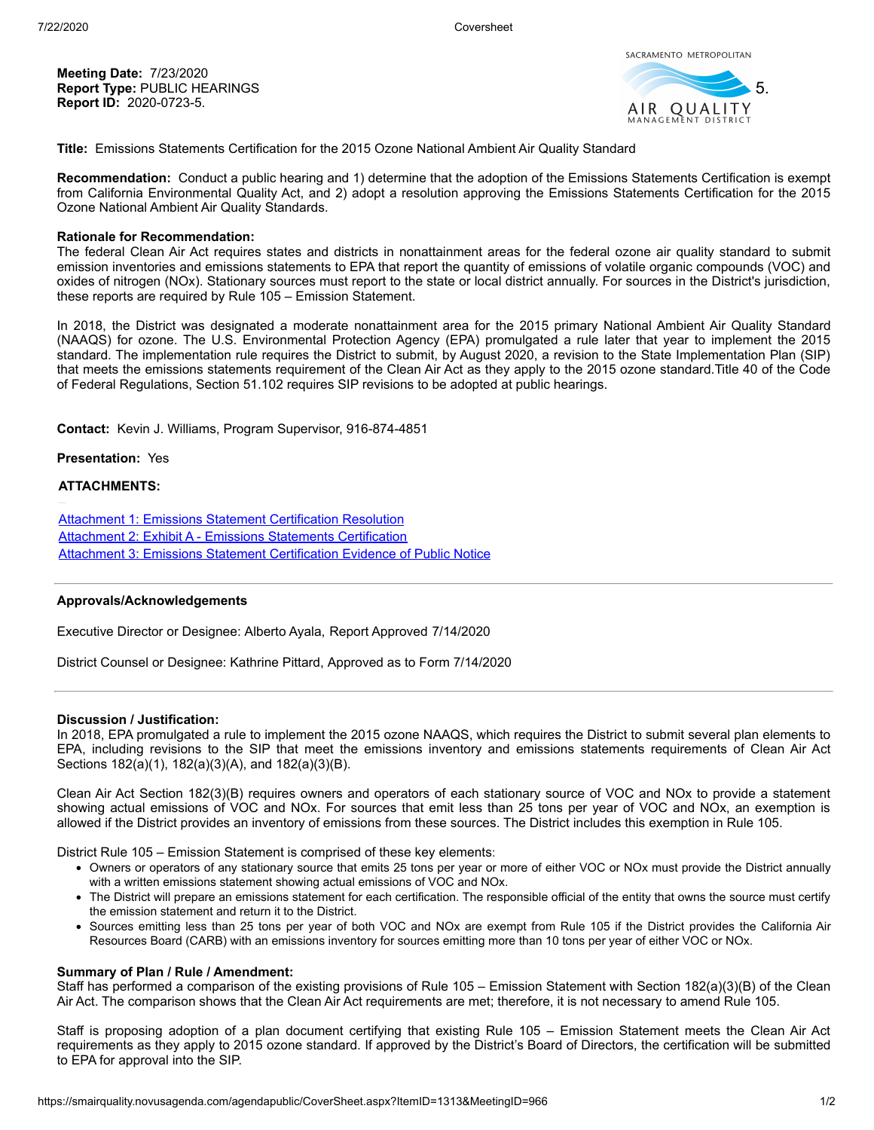**Meeting Date:** 7/23/2020 **Report Type:** PUBLIC HEARINGS **Report ID:** 2020-0723-5.



**Title:** Emissions Statements Certification for the 2015 Ozone National Ambient Air Quality Standard

**Recommendation:** Conduct a public hearing and 1) determine that the adoption of the Emissions Statements Certification is exempt from California Environmental Quality Act, and 2) adopt a resolution approving the Emissions Statements Certification for the 2015 Ozone National Ambient Air Quality Standards.

## **Rationale for Recommendation:**

The federal Clean Air Act requires states and districts in nonattainment areas for the federal ozone air quality standard to submit emission inventories and emissions statements to EPA that report the quantity of emissions of volatile organic compounds (VOC) and oxides of nitrogen (NOx). Stationary sources must report to the state or local district annually. For sources in the District's jurisdiction, these reports are required by Rule 105 – Emission Statement.

In 2018, the District was designated a moderate nonattainment area for the 2015 primary National Ambient Air Quality Standard (NAAQS) for ozone. The U.S. Environmental Protection Agency (EPA) promulgated a rule later that year to implement the 2015 standard. The implementation rule requires the District to submit, by August 2020, a revision to the State Implementation Plan (SIP) that meets the emissions statements requirement of the Clean Air Act as they apply to the 2015 ozone standard.Title 40 of the Code of Federal Regulations, Section 51.102 requires SIP revisions to be adopted at public hearings.

**Contact:** Kevin J. Williams, Program Supervisor, 916-874-4851

# **Presentation:** Yes

### **ATTACHMENTS:**

[Attachment 1: Emissions Statement Certification Resolution](https://smairquality.novusagenda.com/agendapublic/AttachmentViewer.ashx?AttachmentID=1508&ItemID=1313) [Attachment 2: Exhibit A - Emissions Statements Certification](https://smairquality.novusagenda.com/agendapublic/AttachmentViewer.ashx?AttachmentID=1507&ItemID=1313) [Attachment 3: Emissions Statement Certification Evidence of Public Notice](https://smairquality.novusagenda.com/agendapublic/AttachmentViewer.ashx?AttachmentID=1509&ItemID=1313)

# **Approvals/Acknowledgements**

Executive Director or Designee: Alberto Ayala, Report Approved 7/14/2020

District Counsel or Designee: Kathrine Pittard, Approved as to Form 7/14/2020

#### **Discussion / Justification:**

In 2018, EPA promulgated a rule to implement the 2015 ozone NAAQS, which requires the District to submit several plan elements to EPA, including revisions to the SIP that meet the emissions inventory and emissions statements requirements of Clean Air Act Sections 182(a)(1), 182(a)(3)(A), and 182(a)(3)(B).

Clean Air Act Section 182(3)(B) requires owners and operators of each stationary source of VOC and NOx to provide a statement showing actual emissions of VOC and NOx. For sources that emit less than 25 tons per year of VOC and NOx, an exemption is allowed if the District provides an inventory of emissions from these sources. The District includes this exemption in Rule 105.

District Rule 105 – Emission Statement is comprised of these key elements:

- Owners or operators of any stationary source that emits 25 tons per year or more of either VOC or NOx must provide the District annually with a written emissions statement showing actual emissions of VOC and NOx.
- The District will prepare an emissions statement for each certification. The responsible official of the entity that owns the source must certify the emission statement and return it to the District.
- Sources emitting less than 25 tons per year of both VOC and NOx are exempt from Rule 105 if the District provides the California Air Resources Board (CARB) with an emissions inventory for sources emitting more than 10 tons per year of either VOC or NOx.

#### **Summary of Plan / Rule / Amendment:**

Staff has performed a comparison of the existing provisions of Rule 105 – Emission Statement with Section 182(a)(3)(B) of the Clean Air Act. The comparison shows that the Clean Air Act requirements are met; therefore, it is not necessary to amend Rule 105.

Staff is proposing adoption of a plan document certifying that existing Rule 105 – Emission Statement meets the Clean Air Act requirements as they apply to 2015 ozone standard. If approved by the District's Board of Directors, the certification will be submitted to EPA for approval into the SIP.